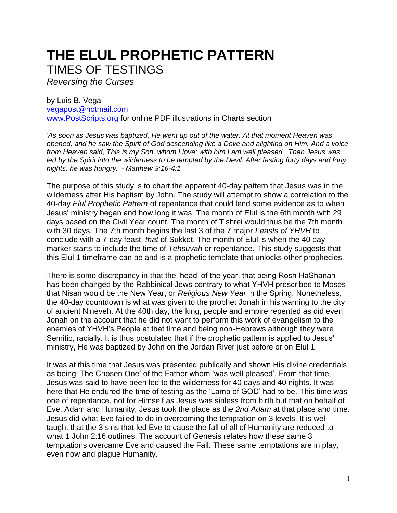## **THE ELUL PROPHETIC PATTERN**  TIMES OF TESTINGS

*Reversing the Curses*

by Luis B. Vega [vegapost@hotmail.com](mailto:vegapost@hotmail.com) [www.PostScripts.org](http://www.postscripts.org/) for online PDF illustrations in Charts section

*'As soon as Jesus was baptized, He went up out of the water. At that moment Heaven was opened, and he saw the Spirit of God descending like a Dove and alighting on Him. And a voice from Heaven said, This is my Son, whom I love; with him I am well pleased...Then Jesus was led by the Spirit into the wilderness to be tempted by the Devil. After fasting forty days and forty nights, he was hungry.' - Matthew 3:16-4:1*

The purpose of this study is to chart the apparent 40-day pattern that Jesus was in the wilderness after His baptism by John. The study will attempt to show a correlation to the 40-day *Elul Prophetic Pattern* of repentance that could lend some evidence as to when Jesus' ministry began and how long it was. The month of Elul is the 6th month with 29 days based on the Civil Year count. The month of Tishrei would thus be the 7th month with 30 days. The 7th month begins the last 3 of the 7 major *Feasts of YHVH* to conclude with a 7-day feast, *that* of Sukkot. The month of Elul is when the 40 day marker starts to include the time of *Tehsuvah* or repentance. This study suggests that this Elul 1 timeframe can be and is a prophetic template that unlocks other prophecies.

There is some discrepancy in that the 'head' of the year, that being Rosh HaShanah has been changed by the Rabbinical Jews contrary to what YHVH prescribed to Moses that Nisan would be the New Year, or *Religious New Year* in the Spring. Nonetheless, the 40-day countdown is what was given to the prophet Jonah in his warning to the city of ancient Nineveh. At the 40th day, the king, people and empire repented as did even Jonah on the account that he did not want to perform this work of evangelism to the enemies of YHVH's People at that time and being non-Hebrews although they were Semitic, racially. It is thus postulated that if the prophetic pattern is applied to Jesus' ministry, He was baptized by John on the Jordan River just before or on Elul 1.

It was at this time that Jesus was presented publically and shown His divine credentials as being 'The Chosen One' of the Father whom 'was well pleased'. From that time, Jesus was said to have been led to the wilderness for 40 days and 40 nights. It was here that He endured the time of testing as the 'Lamb of GOD' had to be. This time was one of repentance, not for Himself as Jesus was sinless from birth but that on behalf of Eve, Adam and Humanity, Jesus took the place as the *2nd Adam* at that place and time. Jesus did what Eve failed to do in overcoming the temptation on 3 levels. It is well taught that the 3 sins that led Eve to cause the fall of all of Humanity are reduced to what 1 John 2:16 outlines. The account of Genesis relates how these same 3 temptations overcame Eve and caused the Fall. These same temptations are in play, even now and plague Humanity.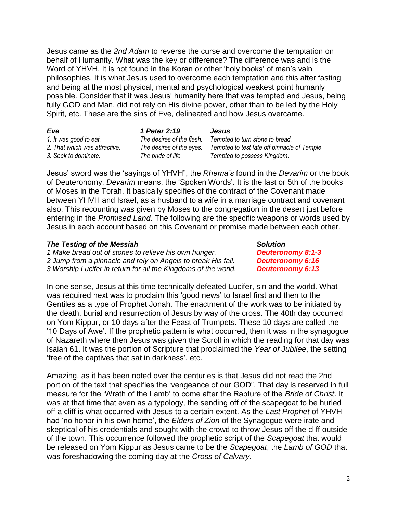Jesus came as the *2nd Adam* to reverse the curse and overcome the temptation on behalf of Humanity. What was the key or difference? The difference was and is the Word of YHVH. It is not found in the Koran or other 'holy books' of man's vain philosophies. It is what Jesus used to overcome each temptation and this after fasting and being at the most physical, mental and psychological weakest point humanly possible. Consider that it was Jesus' humanity here that was tempted and Jesus, being fully GOD and Man, did not rely on His divine power, other than to be led by the Holy Spirit, etc. These are the sins of Eve, delineated and how Jesus overcame.

| Eve                           | 1 Peter 2:19              | <b>Jesus</b>                                 |
|-------------------------------|---------------------------|----------------------------------------------|
| 1. It was good to eat.        | The desires of the flesh. | Tempted to turn stone to bread.              |
| 2. That which was attractive. | The desires of the eyes.  | Tempted to test fate off pinnacle of Temple. |
| 3. Seek to dominate.          | The pride of life.        | Tempted to possess Kingdom.                  |

Jesus' sword was the 'sayings of YHVH", the *Rhema's* found in the *Devarim* or the book of Deuteronomy. *Devarim* means, the 'Spoken Words'. It is the last or 5th of the books of Moses in the Torah. It basically specifies of the contract of the Covenant made between YHVH and Israel, as a husband to a wife in a marriage contract and covenant also. This recounting was given by Moses to the congregation in the desert just before entering in the *Promised Land*. The following are the specific weapons or words used by Jesus in each account based on this Covenant or promise made between each other.

## *The Testing of the Messiah Solution*

*1 Make bread out of stones to relieve his own hunger. Deuteronomy 8:1-3 2 Jump from a pinnacle and rely on Angels to break His fall. Deuteronomy 6:16 3 Worship Lucifer in return for all the Kingdoms of the world. Deuteronomy 6:13*

In one sense, Jesus at this time technically defeated Lucifer, sin and the world. What was required next was to proclaim this 'good news' to Israel first and then to the Gentiles as a type of Prophet Jonah. The enactment of the work was to be initiated by the death, burial and resurrection of Jesus by way of the cross. The 40th day occurred on Yom Kippur, or 10 days after the Feast of Trumpets. These 10 days are called the '10 Days of Awe'. If the prophetic pattern is what occurred, then it was in the synagogue of Nazareth where then Jesus was given the Scroll in which the reading for that day was Isaiah 61. It was the portion of Scripture that proclaimed the *Year of Jubilee*, the setting 'free of the captives that sat in darkness', etc.

Amazing, as it has been noted over the centuries is that Jesus did not read the 2nd portion of the text that specifies the 'vengeance of our GOD". That day is reserved in full measure for the 'Wrath of the Lamb' to come after the Rapture of the *Bride of Christ*. It was at that time that even as a typology, the sending off of the scapegoat to be hurled off a cliff is what occurred with Jesus to a certain extent. As the *Last Prophet* of YHVH had 'no honor in his own home', the *Elders of Zion* of the Synagogue were irate and skeptical of his credentials and sought with the crowd to throw Jesus off the cliff outside of the town. This occurrence followed the prophetic script of the *Scapegoat* that would be released on Yom Kippur as Jesus came to be the *Scapegoat*, the *Lamb of GOD* that was foreshadowing the coming day at the *Cross of Calvary*.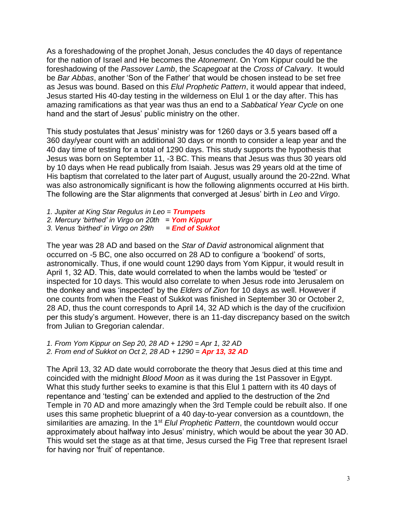As a foreshadowing of the prophet Jonah, Jesus concludes the 40 days of repentance for the nation of Israel and He becomes the *Atonement*. On Yom Kippur could be the foreshadowing of the *Passover Lamb*, the *Scapegoat* at the *Cross of Calvary*. It would be *Bar Abbas*, another 'Son of the Father' that would be chosen instead to be set free as Jesus was bound. Based on this *Elul Prophetic Pattern*, it would appear that indeed, Jesus started His 40-day testing in the wilderness on Elul 1 or the day after. This has amazing ramifications as that year was thus an end to a *Sabbatical Year Cycle* on one hand and the start of Jesus' public ministry on the other.

This study postulates that Jesus' ministry was for 1260 days or 3.5 years based off a 360 day/year count with an additional 30 days or month to consider a leap year and the 40 day time of testing for a total of 1290 days. This study supports the hypothesis that Jesus was born on September 11, -3 BC. This means that Jesus was thus 30 years old by 10 days when He read publically from Isaiah. Jesus was 29 years old at the time of His baptism that correlated to the later part of August, usually around the 20-22nd. What was also astronomically significant is how the following alignments occurred at His birth. The following are the Star alignments that converged at Jesus' birth in *Leo* and *Virgo*.

*1. Jupiter at King Star Regulus in Leo = Trumpets 2. Mercury 'birthed' in Virgo on 20th = Yom Kippur*

*3. Venus 'birthed' in Virgo on 29th = End of Sukkot*

The year was 28 AD and based on the *Star of David* astronomical alignment that occurred on -5 BC, one also occurred on 28 AD to configure a 'bookend' of sorts, astronomically. Thus, if one would count 1290 days from Yom Kippur, it would result in April 1, 32 AD. This, date would correlated to when the lambs would be 'tested' or inspected for 10 days. This would also correlate to when Jesus rode into Jerusalem on the donkey and was 'inspected' by the *Elders of Zion* for 10 days as well. However if one counts from when the Feast of Sukkot was finished in September 30 or October 2, 28 AD, thus the count corresponds to April 14, 32 AD which is the day of the crucifixion per this study's argument. However, there is an 11-day discrepancy based on the switch from Julian to Gregorian calendar.

*1. From Yom Kippur on Sep 20, 28 AD + 1290 = Apr 1, 32 AD 2. From end of Sukkot on Oct 2, 28 AD + 1290 = Apr 13, 32 AD*

The April 13, 32 AD date would corroborate the theory that Jesus died at this time and coincided with the midnight *Blood Moon* as it was during the 1st Passover in Egypt. What this study further seeks to examine is that this Elul 1 pattern with its 40 days of repentance and 'testing' can be extended and applied to the destruction of the 2nd Temple in 70 AD and more amazingly when the 3rd Temple could be rebuilt also. If one uses this same prophetic blueprint of a 40 day-to-year conversion as a countdown, the similarities are amazing. In the 1<sup>st</sup> Elul Prophetic Pattern, the countdown would occur approximately about halfway into Jesus' ministry, which would be about the year 30 AD. This would set the stage as at that time, Jesus cursed the Fig Tree that represent Israel for having nor 'fruit' of repentance.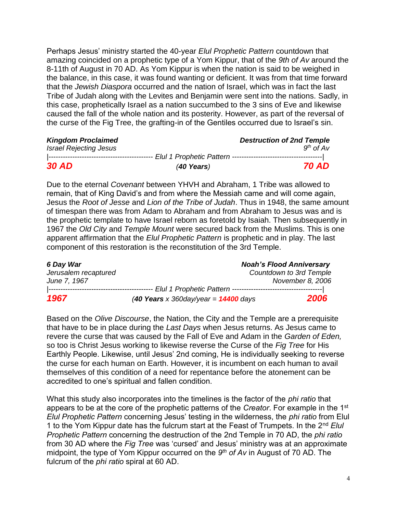Perhaps Jesus' ministry started the 40-year *Elul Prophetic Pattern* countdown that amazing coincided on a prophetic type of a Yom Kippur, that of the *9th of Av* around the 8-11th of August in 70 AD. As Yom Kippur is when the nation is said to be weighed in the balance, in this case, it was found wanting or deficient. It was from that time forward that the *Jewish Diaspora* occurred and the nation of Israel, which was in fact the last Tribe of Judah along with the Levites and Benjamin were sent into the nations. Sadly, in this case, prophetically Israel as a nation succumbed to the 3 sins of Eve and likewise caused the fall of the whole nation and its posterity. However, as part of the reversal of the curse of the Fig Tree, the grafting-in of the Gentiles occurred due to Israel's sin.

| <b>Kingdom Proclaimed</b>     | <b>Destruction of 2nd Temple</b>              |
|-------------------------------|-----------------------------------------------|
| <b>Israel Rejecting Jesus</b> | $9^{th}$ of Av                                |
|                               | ------ Elul 1 Prophetic Pattern ------------- |
| <b>30 AD</b>                  | <b>70 AD</b><br>$(40$ Years)                  |

Due to the eternal *Covenant* between YHVH and Abraham, 1 Tribe was allowed to remain, that of King David's and from where the Messiah came and will come again, Jesus the *Root of Jesse* and *Lion of the Tribe of Judah*. Thus in 1948, the same amount of timespan there was from Adam to Abraham and from Abraham to Jesus was and is the prophetic template to have Israel reborn as foretold by Isaiah. Then subsequently in 1967 the *Old City* and *Temple Mount* were secured back from the Muslims. This is one apparent affirmation that the *Elul Prophetic Pattern* is prophetic and in play. The last component of this restoration is the reconstitution of the 3rd Temple.

| 6 Day War            |                                         | <b>Noah's Flood Anniversary</b> |
|----------------------|-----------------------------------------|---------------------------------|
| Jerusalem recaptured |                                         | Countdown to 3rd Temple         |
| June 7, 1967         |                                         | November 8, 2006                |
|                      |                                         |                                 |
| 1967                 | (40 Years x 360 day/year = $14400$ days | 2006                            |

Based on the *Olive Discourse*, the Nation, the City and the Temple are a prerequisite that have to be in place during the *Last Days* when Jesus returns. As Jesus came to revere the curse that was caused by the Fall of Eve and Adam in the *Garden of Eden,* so too is Christ Jesus working to likewise reverse the Curse of the *Fig Tree* for His Earthly People. Likewise, until Jesus' 2nd coming, He is individually seeking to reverse the curse for each human on Earth. However, it is incumbent on each human to avail themselves of this condition of a need for repentance before the atonement can be accredited to one's spiritual and fallen condition.

What this study also incorporates into the timelines is the factor of the *phi ratio* that appears to be at the core of the prophetic patterns of the *Creator*. For example in the 1st *Elul Prophetic Pattern* concerning Jesus' testing in the wilderness, the *phi ratio* from Elul 1 to the Yom Kippur date has the fulcrum start at the Feast of Trumpets. In the 2nd *Elul Prophetic Pattern* concerning the destruction of the 2nd Temple in 70 AD, the *phi ratio* from 30 AD where the *Fig Tree* was 'cursed' and Jesus' ministry was at an approximate midpoint, the type of Yom Kippur occurred on the 9<sup>th</sup> of Av in August of 70 AD. The fulcrum of the *phi ratio* spiral at 60 AD.